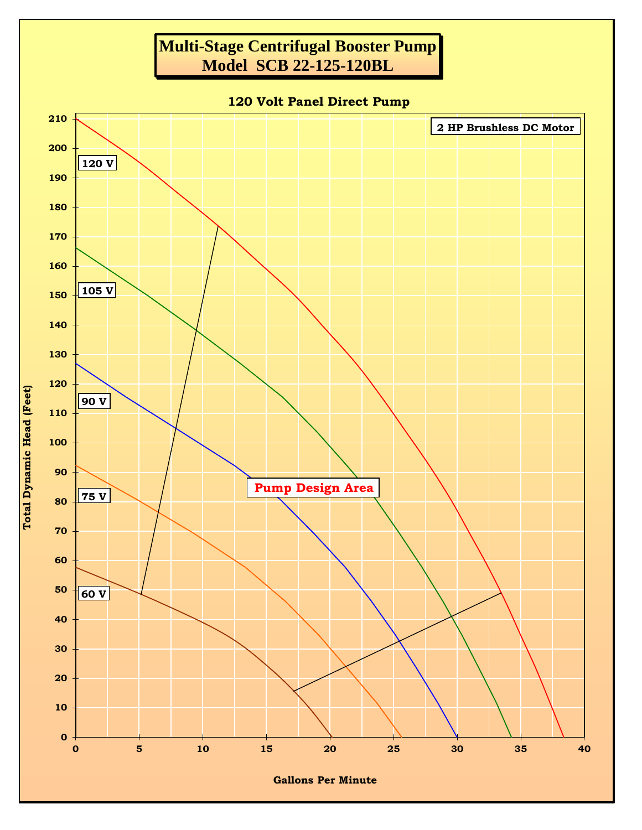